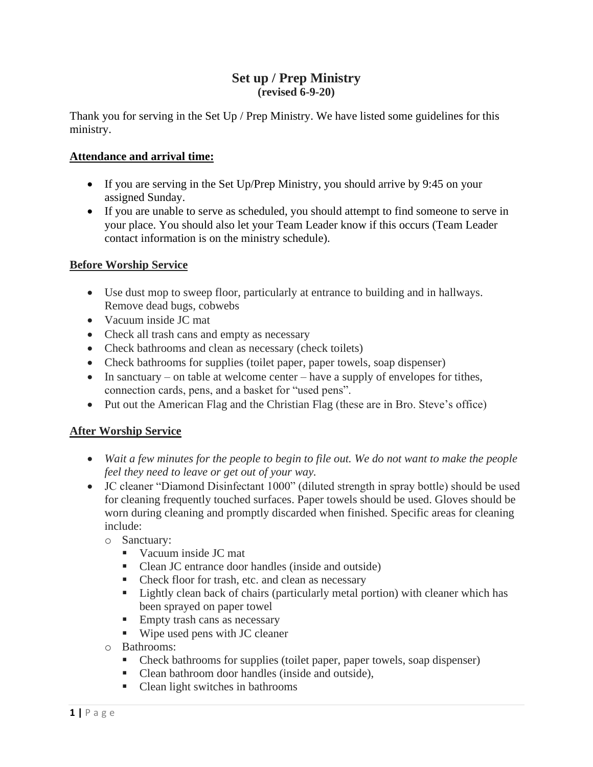## **Set up / Prep Ministry (revised 6-9-20)**

Thank you for serving in the Set Up / Prep Ministry. We have listed some guidelines for this ministry.

## **Attendance and arrival time:**

- If you are serving in the Set Up/Prep Ministry, you should arrive by 9:45 on your assigned Sunday.
- If you are unable to serve as scheduled, you should attempt to find someone to serve in your place. You should also let your Team Leader know if this occurs (Team Leader contact information is on the ministry schedule).

## **Before Worship Service**

- Use dust mop to sweep floor, particularly at entrance to building and in hallways. Remove dead bugs, cobwebs
- Vacuum inside JC mat
- Check all trash cans and empty as necessary
- Check bathrooms and clean as necessary (check toilets)
- Check bathrooms for supplies (toilet paper, paper towels, soap dispenser)
- In sanctuary on table at welcome center have a supply of envelopes for tithes, connection cards, pens, and a basket for "used pens".
- Put out the American Flag and the Christian Flag (these are in Bro. Steve's office)

## **After Worship Service**

- *Wait a few minutes for the people to begin to file out. We do not want to make the people feel they need to leave or get out of your way.*
- JC cleaner "Diamond Disinfectant 1000" (diluted strength in spray bottle) should be used for cleaning frequently touched surfaces. Paper towels should be used. Gloves should be worn during cleaning and promptly discarded when finished. Specific areas for cleaning include:

o Sanctuary:

- Vacuum inside JC mat
- Clean JC entrance door handles (inside and outside)
- Check floor for trash, etc. and clean as necessary
- **Example 1** Lightly clean back of chairs (particularly metal portion) with cleaner which has been sprayed on paper towel
- **Empty trash cans as necessary**
- Wipe used pens with JC cleaner
- o Bathrooms:
	- Check bathrooms for supplies (toilet paper, paper towels, soap dispenser)
	- Clean bathroom door handles (inside and outside),
	- Clean light switches in bathrooms